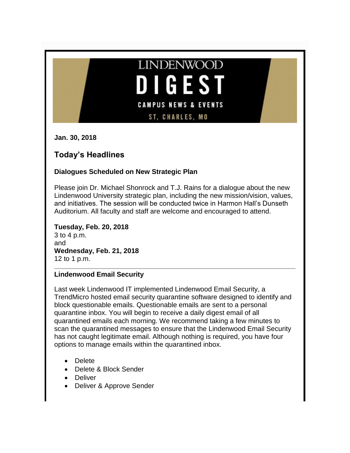

**Jan. 30, 2018**

# **Today's Headlines**

# **Dialogues Scheduled on New Strategic Plan**

Please join Dr. Michael Shonrock and T.J. Rains for a dialogue about the new Lindenwood University strategic plan, including the new mission/vision, values, and initiatives. The session will be conducted twice in Harmon Hall's Dunseth Auditorium. All faculty and staff are welcome and encouraged to attend.

**Tuesday, Feb. 20, 2018** 3 to 4 p.m. and **Wednesday, Feb. 21, 2018** 12 to 1 p.m.

# **Lindenwood Email Security**

Last week Lindenwood IT implemented Lindenwood Email Security, a TrendMicro hosted email security quarantine software designed to identify and block questionable emails. Questionable emails are sent to a personal quarantine inbox. You will begin to receive a daily digest email of all quarantined emails each morning. We recommend taking a few minutes to scan the quarantined messages to ensure that the Lindenwood Email Security has not caught legitimate email. Although nothing is required, you have four options to manage emails within the quarantined inbox.

- Delete
- Delete & Block Sender
- Deliver
- Deliver & Approve Sender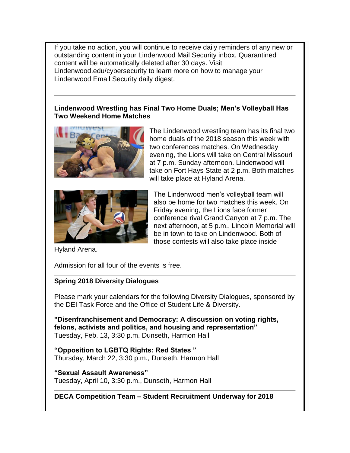If you take no action, you will continue to receive daily reminders of any new or outstanding content in your Lindenwood Mail Security inbox. Quarantined content will be automatically deleted after 30 days. Visit Lindenwood.edu/cybersecurity to learn more on how to manage your Lindenwood Email Security daily digest.

# **Lindenwood Wrestling has Final Two Home Duals; Men's Volleyball Has Two Weekend Home Matches**



The Lindenwood wrestling team has its final two home duals of the 2018 season this week with two conferences matches. On Wednesday evening, the Lions will take on Central Missouri at 7 p.m. Sunday afternoon. Lindenwood will take on Fort Hays State at 2 p.m. Both matches will take place at Hyland Arena.



The Lindenwood men's volleyball team will also be home for two matches this week. On Friday evening, the Lions face former conference rival Grand Canyon at 7 p.m. The next afternoon, at 5 p.m., Lincoln Memorial will be in town to take on Lindenwood. Both of those contests will also take place inside

Hyland Arena.

Admission for all four of the events is free.

# **Spring 2018 Diversity Dialogues**

Please mark your calendars for the following Diversity Dialogues, sponsored by the DEI Task Force and the Office of Student Life & Diversity.

**"Disenfranchisement and Democracy: A discussion on voting rights, felons, activists and politics, and housing and representation"** Tuesday, Feb. 13, 3:30 p.m. Dunseth, Harmon Hall

**"Opposition to LGBTQ Rights: Red States "**  Thursday, March 22, 3:30 p.m., Dunseth, Harmon Hall

**"Sexual Assault Awareness"** Tuesday, April 10, 3:30 p.m., Dunseth, Harmon Hall

**DECA Competition Team – Student Recruitment Underway for 2018**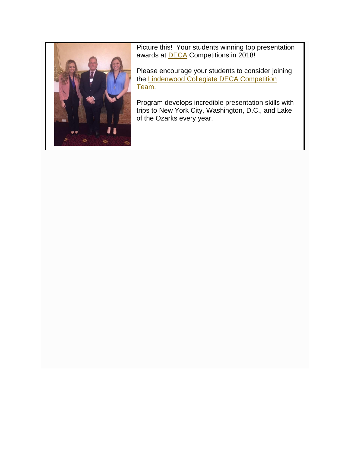

Picture this! Your students winning top presentation awards at **DECA** Competitions in 2018!

Please encourage your students to consider joining the [Lindenwood Collegiate DECA Competition](http://www.lindenwood.edu/about/news/details/two-from-lindenwood-take-top-prize-at-national-deca-competition/)  [Team.](http://www.lindenwood.edu/about/news/details/two-from-lindenwood-take-top-prize-at-national-deca-competition/)

Program develops incredible presentation skills with trips to New York City, Washington, D.C., and Lake of the Ozarks every year.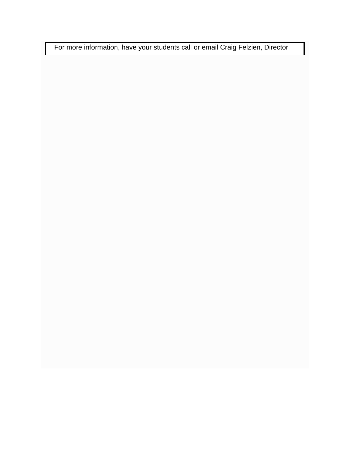For more information, have your students call or email Craig Felzien, Director

I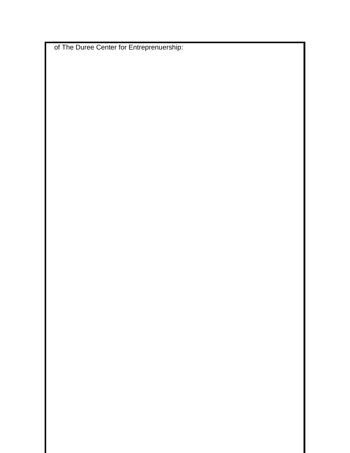of The Duree Center for Entreprenuership: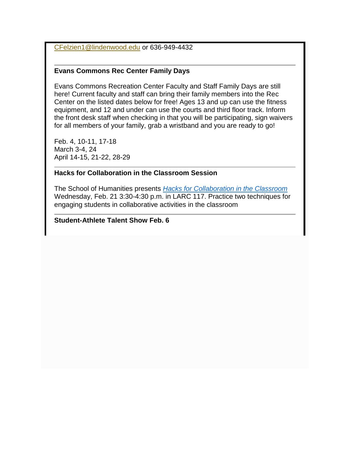[CFelzien1@lindenwood.edu](mailto:CFelzien1@lindenwood.edu) or 636-949-4432

# **Evans Commons Rec Center Family Days**

Evans Commons Recreation Center Faculty and Staff Family Days are still here! Current faculty and staff can bring their family members into the Rec Center on the listed dates below for free! Ages 13 and up can use the fitness equipment, and 12 and under can use the courts and third floor track. Inform the front desk staff when checking in that you will be participating, sign waivers for all members of your family, grab a wristband and you are ready to go!

Feb. 4, 10-11, 17-18 March 3-4, 24 April 14-15, 21-22, 28-29

# **Hacks for Collaboration in the Classroom Session**

The School of Humanities presents *[Hacks for Collaboration in the Classroom](http://felix.lindenwood.edu/newsletter/2018_01/collaborationflier.pdf)* Wednesday, Feb. 21 3:30-4:30 p.m. in LARC 117. Practice two techniques for engaging students in collaborative activities in the classroom

# **Student-Athlete Talent Show Feb. 6**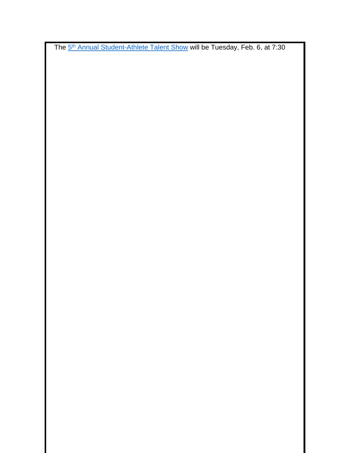The 5<sup>th</sup> [Annual Student-Athlete Talent Show](http://felix.lindenwood.edu/newsletter/2018_01/talentshow2018.jpg) will be Tuesday, Feb. 6, at 7:30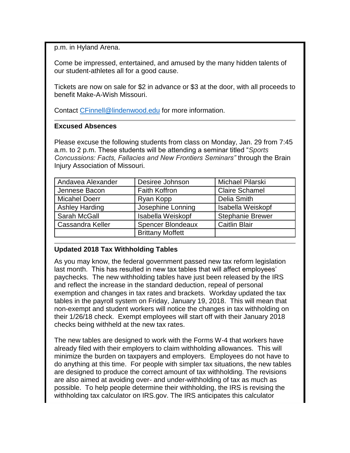p.m. in Hyland Arena.

Come be impressed, entertained, and amused by the many hidden talents of our student-athletes all for a good cause.

Tickets are now on sale for \$2 in advance or \$3 at the door, with all proceeds to benefit Make-A-Wish Missouri.

Contact [CFinnell@lindenwood.edu](mailto:CFinnell@lindenwood.edu) for more information.

#### **Excused Absences**

Please excuse the following students from class on Monday, Jan. 29 from 7:45 a.m. to 2 p.m. These students will be attending a seminar titled "*Sports Concussions: Facts, Fallacies and New Frontiers Seminars"* through the Brain Injury Association of Missouri.

| Andavea Alexander       | Desiree Johnson          | Michael Pilarski        |  |
|-------------------------|--------------------------|-------------------------|--|
| Jennese Bacon           | <b>Faith Koffron</b>     | <b>Claire Schamel</b>   |  |
| <b>Micahel Doerr</b>    | Ryan Kopp                | Delia Smith             |  |
| <b>Ashley Harding</b>   | Josephine Lonning        | Isabella Weiskopf       |  |
| Sarah McGall            | Isabella Weiskopf        | <b>Stephanie Brewer</b> |  |
| <b>Cassandra Keller</b> | <b>Spencer Blondeaux</b> | <b>Caitlin Blair</b>    |  |
|                         | <b>Brittany Moffett</b>  |                         |  |

# **Updated 2018 Tax Withholding Tables**

As you may know, the federal government passed new tax reform legislation last month. This has resulted in new tax tables that will affect employees' paychecks. The new withholding tables have just been released by the IRS and reflect the increase in the standard deduction, repeal of personal exemption and changes in tax rates and brackets. Workday updated the tax tables in the payroll system on Friday, January 19, 2018. This will mean that non-exempt and student workers will notice the changes in tax withholding on their 1/26/18 check. Exempt employees will start off with their January 2018 checks being withheld at the new tax rates.

The new tables are designed to work with the Forms W-4 that workers have already filed with their employers to claim withholding allowances. This will minimize the burden on taxpayers and employers. Employees do not have to do anything at this time. For people with simpler tax situations, the new tables are designed to produce the correct amount of tax withholding. The revisions are also aimed at avoiding over- and under-withholding of tax as much as possible. To help people determine their withholding, the IRS is revising the withholding tax calculator on IRS.gov. The IRS anticipates this calculator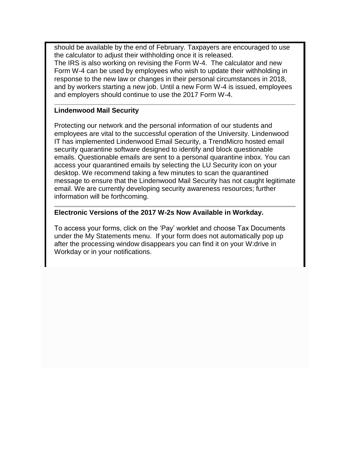should be available by the end of February. Taxpayers are encouraged to use the calculator to adjust their withholding once it is released. The IRS is also working on revising the Form W-4. The calculator and new Form W-4 can be used by employees who wish to update their withholding in response to the new law or changes in their personal circumstances in 2018, and by workers starting a new job. Until a new Form W-4 is issued, employees and employers should continue to use the 2017 Form W-4.

#### **Lindenwood Mail Security**

Protecting our network and the personal information of our students and employees are vital to the successful operation of the University. Lindenwood IT has implemented Lindenwood Email Security, a TrendMicro hosted email security quarantine software designed to identify and block questionable emails. Questionable emails are sent to a personal quarantine inbox. You can access your quarantined emails by selecting the LU Security icon on your desktop. We recommend taking a few minutes to scan the quarantined message to ensure that the Lindenwood Mail Security has not caught legitimate email. We are currently developing security awareness resources; further information will be forthcoming.

# **Electronic Versions of the 2017 W-2s Now Available in Workday.**

To access your forms, click on the 'Pay' worklet and choose Tax Documents under the My Statements menu. If your form does not automatically pop up after the processing window disappears you can find it on your W:drive in Workday or in your notifications.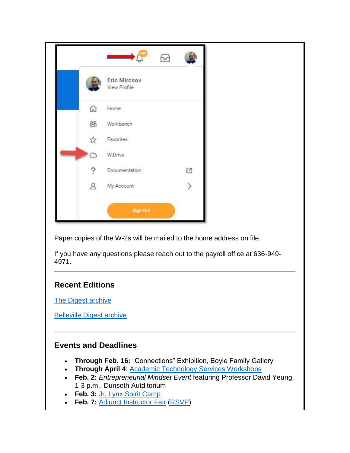|    | <b>Contract Contract Contract Contract Contract Contract Contract Contract Contract Contract Contract Contract Co</b> | æ |               |
|----|-----------------------------------------------------------------------------------------------------------------------|---|---------------|
|    | Eric Mircsov<br>View Profile                                                                                          |   |               |
| ⋒  | Home                                                                                                                  |   |               |
| 88 | Workbench                                                                                                             |   |               |
|    | Favorites                                                                                                             |   |               |
| ◠  | W:Drive                                                                                                               |   |               |
|    | Documentation                                                                                                         |   | $\mathbb{E}$  |
| Զ  | My Account                                                                                                            |   | $\rightarrow$ |

Paper copies of the W-2s will be mailed to the home address on file.

If you have any questions please reach out to the payroll office at 636-949- 4971.

# **Recent Editions**

[The Digest archive](http://www.lindenwood.edu/about/digest-archives/)

[Belleville Digest archive](http://www.lindenwood.edu/belleville/about/lindenwood-belleville-digest-archives/)

# **Events and Deadlines**

- **Through Feb. 16:** "Connections" Exhibition, Boyle Family Gallery
- **Through April 4: [Academic Technology Services Workshops](http://felix.lindenwood.edu/newsletter/2018_01/ats_spring_catalog.pdf)**
- **Feb. 2:** *Entrepreneurial Mindset Event* featuring Professor David Yeung, 1-3 p.m., Dunseth Autditorium
- **Feb. 3:** [Jr. Lynx Spirit Camp](https://register.myonlinecamp.com/camp.cfm?sport=2&id=109428)
- **Feb. 7:** [Adjunct Instructor Fair](http://felix.lindenwood.edu/newsletter/2018_01/adjunctfair.pdf) [\(RSVP\)](https://www.eventbrite.com/o/lindenwood-human-resources-11113458435)